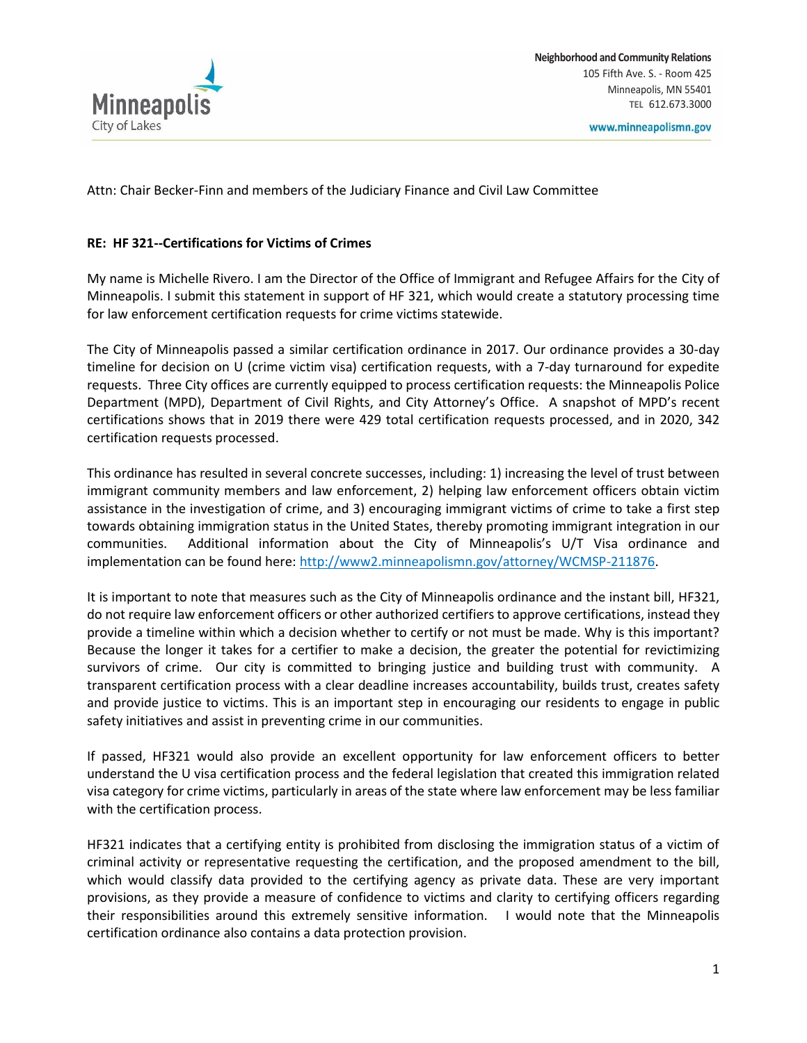

Attn: Chair Becker-Finn and members of the Judiciary Finance and Civil Law Committee

## **RE: HF 321--Certifications for Victims of Crimes**

My name is Michelle Rivero. I am the Director of the Office of Immigrant and Refugee Affairs for the City of Minneapolis. I submit this statement in support of HF 321, which would create a statutory processing time for law enforcement certification requests for crime victims statewide.

The City of Minneapolis passed a similar certification ordinance in 2017. Our ordinance provides a 30-day timeline for decision on U (crime victim visa) certification requests, with a 7-day turnaround for expedite requests. Three City offices are currently equipped to process certification requests: the Minneapolis Police Department (MPD), Department of Civil Rights, and City Attorney's Office. A snapshot of MPD's recent certifications shows that in 2019 there were 429 total certification requests processed, and in 2020, 342 certification requests processed.

This ordinance has resulted in several concrete successes, including: 1) increasing the level of trust between immigrant community members and law enforcement, 2) helping law enforcement officers obtain victim assistance in the investigation of crime, and 3) encouraging immigrant victims of crime to take a first step towards obtaining immigration status in the United States, thereby promoting immigrant integration in our communities. Additional information about the City of Minneapolis's U/T Visa ordinance and implementation can be found here: [http://www2.minneapolismn.gov/attorney/WCMSP-211876.](http://www2.minneapolismn.gov/attorney/WCMSP-211876)

It is important to note that measures such as the City of Minneapolis ordinance and the instant bill, HF321, do not require law enforcement officers or other authorized certifiers to approve certifications, instead they provide a timeline within which a decision whether to certify or not must be made. Why is this important? Because the longer it takes for a certifier to make a decision, the greater the potential for revictimizing survivors of crime. Our city is committed to bringing justice and building trust with community. A transparent certification process with a clear deadline increases accountability, builds trust, creates safety and provide justice to victims. This is an important step in encouraging our residents to engage in public safety initiatives and assist in preventing crime in our communities.

If passed, HF321 would also provide an excellent opportunity for law enforcement officers to better understand the U visa certification process and the federal legislation that created this immigration related visa category for crime victims, particularly in areas of the state where law enforcement may be less familiar with the certification process.

HF321 indicates that a certifying entity is prohibited from disclosing the immigration status of a victim of criminal activity or representative requesting the certification, and the proposed amendment to the bill, which would classify data provided to the certifying agency as private data. These are very important provisions, as they provide a measure of confidence to victims and clarity to certifying officers regarding their responsibilities around this extremely sensitive information. I would note that the Minneapolis certification ordinance also contains a data protection provision.